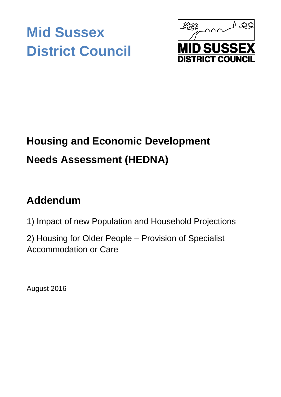# **Mid Sussex District Council**



## **Housing and Economic Development Needs Assessment (HEDNA)**

## **Addendum**

1) Impact of new Population and Household Projections

2) Housing for Older People – Provision of Specialist Accommodation or Care

August 2016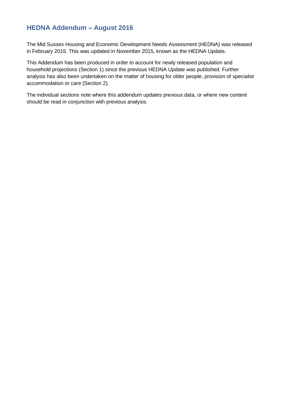## **HEDNA Addendum – August 2016**

The Mid Sussex Housing and Economic Development Needs Assessment (HEDNA) was released in February 2015. This was updated in November 2015, known as the HEDNA Update.

This Addendum has been produced in order to account for newly released population and household projections (Section 1) since the previous HEDNA Update was published. Further analysis has also been undertaken on the matter of housing for older people, provision of specialist accommodation or care (Section 2).

The individual sections note where this addendum updates previous data, or where new content should be read in conjunction with previous analysis.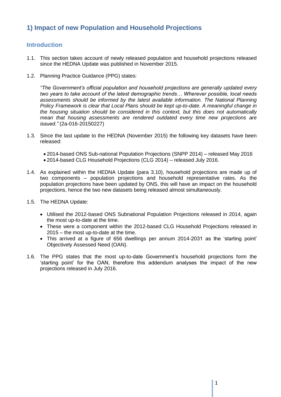## **1) Impact of new Population and Household Projections**

## **Introduction**

- 1.1. This section takes account of newly released population and household projections released since the HEDNA Update was published in November 2015.
- 1.2. Planning Practice Guidance (PPG) states:

*"The Government's official population and household projections are generally updated every two years to take account of the latest demographic trends… Wherever possible, local needs assessments should be informed by the latest available information. The National Planning Policy Framework is clear that Local Plans should be kept up-to-date. A meaningful change in the housing situation should be considered in this context, but this does not automatically mean that housing assessments are rendered outdated every time new projections are issued."* (2a-016-20150227)

- 1.3. Since the last update to the HEDNA (November 2015) the following key datasets have been released:
	- 2014-based ONS Sub-national Population Projections (SNPP 2014) released May 2016
	- 2014-based CLG Household Projections (CLG 2014) released July 2016.
- 1.4. As explained within the HEDNA Update (para 3.10), household projections are made up of two components – population projections and household representative rates. As the population projections have been updated by ONS, this will have an impact on the household projections, hence the two new datasets being released almost simultaneously.
- 1.5. The HEDNA Update:
	- Utilised the 2012-based ONS Subnational Population Projections released in 2014, again the most up-to-date at the time.
	- These were a component within the 2012-based CLG Household Projections released in 2015 – the most up-to-date at the time.
	- This arrived at a figure of 656 dwellings per annum 2014-2031 as the 'starting point' Objectively Assessed Need (OAN).
- 1.6. The PPG states that the most up-to-date Government's household projections form the 'starting point' for the OAN, therefore this addendum analyses the impact of the new projections released in July 2016.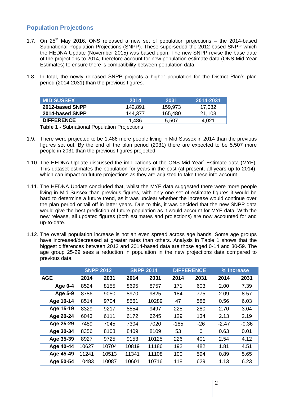## **Population Projections**

- 1.7. On  $25<sup>th</sup>$  May 2016, ONS released a new set of population projections the 2014-based Subnational Population Projections (SNPP). These superseded the 2012-based SNPP which the HEDNA Update (November 2015) was based upon. The new SNPP revise the base date of the projections to 2014, therefore account for new population estimate data (ONS Mid-Year Estimates) to ensure there is compatibility between population data.
- 1.8. In total, the newly released SNPP projects a higher population for the District Plan's plan period (2014-2031) than the previous figures.

| <b>MID SUSSEX</b> | 2014    | 2031    | 2014-2031 |
|-------------------|---------|---------|-----------|
| 2012-based SNPP   | 142.891 | 159.973 | 17.082    |
| 2014-based SNPP   | 144.377 | 165,480 | 21,103    |
| <b>DIFFERENCE</b> | 1.486   | 5.507   | 4.021     |

**Table 1 -** Subnational Population Projections

- 1.9. There were projected to be 1,486 more people living in Mid Sussex in 2014 than the previous figures set out. By the end of the plan period (2031) there are expected to be 5,507 more people in 2031 than the previous figures projected.
- 1.10. The HEDNA Update discussed the implications of the ONS Mid-Year` Estimate data (MYE). This dataset estimates the population for years in the past (at present, all years up to 2014), which can impact on future projections as they are adjusted to take these into account.
- 1.11. The HEDNA Update concluded that, whilst the MYE data suggested there were more people living in Mid Sussex than previous figures, with only one set of estimate figures it would be hard to determine a future trend, as it was unclear whether the increase would continue over the plan period or tail off in latter years. Due to this, it was decided that the new SNPP data would give the best prediction of future population as it would account for MYE data. With the new release, all updated figures (both estimates and projections) are now accounted for and up-to-date.
- 1.12. The overall population increase is not an even spread across age bands. Some age groups have increased/decreased at greater rates than others. Analysis in Table 1 shows that the biggest differences between 2012 and 2014-based data are those aged 0-14 and 30-59. The age group 25-29 sees a reduction in population in the new projections data compared to previous data.

|                |       | <b>SNPP 2012</b> | <b>SNPP 2014</b> |       | <b>DIFFERENCE</b> |       | % Increase |         |
|----------------|-------|------------------|------------------|-------|-------------------|-------|------------|---------|
| <b>AGE</b>     | 2014  | 2031             | 2014             | 2031  | 2014              | 2031  | 2014       | 2031    |
| Age $0-4$      | 8524  | 8155             | 8695             | 8757  | 171               | 603   | 2.00       | 7.39    |
| <b>Age 5-9</b> | 8786  | 9050             | 8970             | 9825  | 184               | 775   | 2.09       | 8.57    |
| Age 10-14      | 8514  | 9704             | 8561             | 10289 | 47                | 586   | 0.56       | 6.03    |
| Age 15-19      | 8329  | 9217             | 8554             | 9497  | 225               | 280   | 2.70       | 3.04    |
| Age 20-24      | 6043  | 6111             | 6172             | 6245  | 129               | 134   | 2.13       | 2.19    |
| Age 25-29      | 7489  | 7045             | 7304             | 7020  | $-185$            | $-26$ | $-2.47$    | $-0.36$ |
| Age 30-34      | 8356  | 8108             | 8409             | 8109  | 53                | 0     | 0.63       | 0.01    |
| Age 35-39      | 8927  | 9725             | 9153             | 10125 | 226               | 401   | 2.54       | 4.12    |
| Age 40-44      | 10627 | 10704            | 10819            | 11186 | 192               | 482   | 1.81       | 4.51    |
| Age 45-49      | 11241 | 10513            | 11341            | 11108 | 100               | 594   | 0.89       | 5.65    |
| Age 50-54      | 10483 | 10087            | 10601            | 10716 | 118               | 629   | 1.13       | 6.23    |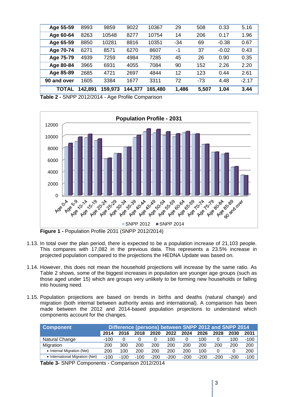| TOTAL       | 142,891 | 159,973 | 144,377 | 165,480 | 1,486 | 5,507 | 1.04    | 3.44    |
|-------------|---------|---------|---------|---------|-------|-------|---------|---------|
| 90 and over | 1605    | 3384    | 1677    | 3311    | 72    | $-73$ | 4.48    | $-2.17$ |
| Age 85-89   | 2685    | 4721    | 2697    | 4844    | 12    | 123   | 0.44    | 2.61    |
| Age 80-84   | 3965    | 6931    | 4055    | 7084    | 90    | 152   | 2.26    | 2.20    |
| Age 75-79   | 4939    | 7259    | 4984    | 7285    | 45    | 26    | 0.90    | 0.35    |
| Age 70-74   | 6271    | 8571    | 6270    | 8607    | -1    | 37    | $-0.02$ | 0.43    |
| Age 65-59   | 8850    | 10281   | 8816    | 10351   | -34   | 69    | $-0.38$ | 0.67    |
| Age 60-64   | 8263    | 10548   | 8277    | 10754   | 14    | 206   | 0.17    | 1.96    |
| Age 55-59   | 8993    | 9859    | 9022    | 10367   | 29    | 508   | 0.33    | 5.16    |

**Table 2 -** SNPP 2012/2014 - Age Profile Comparison



**Figure 1 -** Population Profile 2031 (SNPP 2012/2014)

- 1.13. In total over the plan period, there is expected to be a population increase of 21,103 people. This compares with 17,082 in the previous data. This represents a 23.5% increase in projected population compared to the projections the HEDNA Update was based on.
- 1.14. However, this does not mean the household projections will increase by the same ratio. As Table 2 shows, some of the biggest increases in population are younger age groups (such as those aged under 15) which are groups very unlikely to be forming new households or falling into housing need.
- 1.15. Population projections are based on trends in births and deaths (natural change) and migration (both internal between authority areas and international). A comparison has been made between the 2012 and 2014-based population projections to understand which components account for the changes.

| <b>Component</b>                | Difference (persons) between SNPP 2012 and SNPP 2014 |        |        |        |        |        |        |        |        |        |
|---------------------------------|------------------------------------------------------|--------|--------|--------|--------|--------|--------|--------|--------|--------|
|                                 | 2014                                                 | 2016   | 2018   | 2020   | 2022   | 2024   | 2026   | 2028   | 2030   | 2031   |
| Natural Change                  | $-100$                                               |        |        |        | 100    |        | 100    |        | 100    | $-100$ |
| Migration                       | 200                                                  | 300    | 200    | 200    | 200    | 200    | 200    | 200    | 200    | 200    |
| • Internal Migration (Net)      | 200                                                  | 100    | 200    | 200    | 200    | 200    | 100    |        |        | 200    |
| • International Migration (Net) | $-100$                                               | $-100$ | $-100$ | $-200$ | $-200$ | $-200$ | $-200$ | $-200$ | $-200$ | -100   |
| $\sim$<br>$\sim$                | $\sim$                                               |        |        |        |        |        |        |        |        |        |

**Table 3-** SNPP Components - Comparison 2012/2014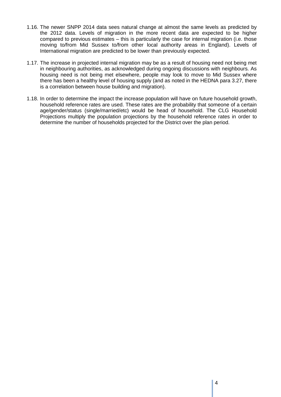- 1.16. The newer SNPP 2014 data sees natural change at almost the same levels as predicted by the 2012 data. Levels of migration in the more recent data are expected to be higher compared to previous estimates – this is particularly the case for internal migration (i.e. those moving to/from Mid Sussex to/from other local authority areas in England). Levels of International migration are predicted to be lower than previously expected.
- 1.17. The increase in projected internal migration may be as a result of housing need not being met in neighbouring authorities, as acknowledged during ongoing discussions with neighbours. As housing need is not being met elsewhere, people may look to move to Mid Sussex where there has been a healthy level of housing supply (and as noted in the HEDNA para 3.27, there is a correlation between house building and migration).
- 1.18. In order to determine the impact the increase population will have on future household growth, household reference rates are used. These rates are the probability that someone of a certain age/gender/status (single/married/etc) would be head of household. The CLG Household Projections multiply the population projections by the household reference rates in order to determine the number of households projected for the District over the plan period.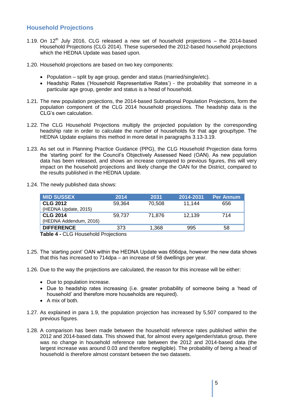## **Household Projections**

- 1.19. On  $12<sup>th</sup>$  July 2016, CLG released a new set of household projections the 2014-based Household Projections (CLG 2014). These superseded the 2012-based household projections which the HEDNA Update was based upon.
- 1.20. Household projections are based on two key components:
	- Population split by age group, gender and status (married/single/etc).
	- Headship Rates ('Household Representative Rates') the probability that someone in a particular age group, gender and status is a head of household.
- 1.21. The new population projections, the 2014-based Subnational Population Projections, form the population component of the CLG 2014 household projections. The headship data is the CLG's own calculation.
- 1.22. The CLG Household Projections multiply the projected population by the corresponding headship rate in order to calculate the number of households for that age group/type. The HEDNA Update explains this method in more detail in paragraphs 3.13-3.19.
- 1.23. As set out in Planning Practice Guidance (PPG), the CLG Household Projection data forms the 'starting point' for the Council's Objectively Assessed Need (OAN). As new population data has been released, and shows an increase compared to previous figures, this will very impact on the household projections and likely change the OAN for the District, compared to the results published in the HEDNA Update.
- 1.24. The newly published data shows:

| <b>MID SUSSEX</b>      | 2014   | 2031   | 2014-2031 | <b>Per Annum</b> |
|------------------------|--------|--------|-----------|------------------|
| <b>CLG 2012</b>        | 59,364 | 70,508 | 11.144    | 656              |
| (HEDNA Update, 2015)   |        |        |           |                  |
| <b>CLG 2014</b>        | 59.737 | 71.876 | 12,139    | 714              |
| (HEDNA Addendum, 2016) |        |        |           |                  |
| <b>DIFFERENCE</b>      | 373    | 1,368  | 995       | 58               |
|                        |        |        |           |                  |

**Table 4 -** CLG Household Projections

- 1.25. The 'starting point' OAN within the HEDNA Update was 656dpa, however the new data shows that this has increased to 714dpa – an increase of 58 dwellings per year.
- 1.26. Due to the way the projections are calculated, the reason for this increase will be either:
	- Due to population increase.
	- Due to headship rates increasing (i.e. greater probability of someone being a 'head of household' and therefore more households are required).
	- A mix of both.
- 1.27. As explained in para 1.9, the population projection has increased by 5,507 compared to the previous figures.
- 1.28. A comparison has been made between the household reference rates published within the 2012 and 2014-based data. This showed that, for almost every age/gender/status group, there was no change in household reference rate between the 2012 and 2014-based data (the largest increase was around 0.03 and therefore negligible). The probability of being a head of household is therefore almost constant between the two datasets.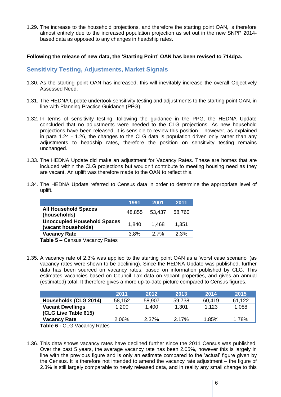1.29. The increase to the household projections, and therefore the starting point OAN, is therefore almost entirely due to the increased population projection as set out in the new SNPP 2014 based data as opposed to any changes in headship rates.

#### **Following the release of new data, the 'Starting Point' OAN has been revised to 714dpa.**

#### **Sensitivity Testing, Adjustments, Market Signals**

- 1.30. As the starting point OAN has increased, this will inevitably increase the overall Objectively Assessed Need.
- 1.31. The HEDNA Update undertook sensitivity testing and adjustments to the starting point OAN, in line with Planning Practice Guidance (PPG).
- 1.32. In terms of sensitivity testing, following the guidance in the PPG, the HEDNA Update concluded that no adjustments were needed to the CLG projections. As new household projections have been released, it is sensible to review this position – however, as explained in para 1.24 - 1.26, the changes to the CLG data is population driven only rather than any adjustments to headship rates, therefore the position on sensitivity testing remains unchanged.
- 1.33. The HEDNA Update did make an adjustment for Vacancy Rates. These are homes that are included within the CLG projections but wouldn't contribute to meeting housing need as they are vacant. An uplift was therefore made to the OAN to reflect this.
- 1.34. The HEDNA Update referred to Census data in order to determine the appropriate level of uplift.

|                                                           | 1991   | 2001   | 2011   |
|-----------------------------------------------------------|--------|--------|--------|
| <b>All Household Spaces</b><br>(households)               | 48,855 | 53,437 | 58,760 |
| <b>Unoccupied Household Spaces</b><br>(vacant households) | 1.840  | 1.468  | 1,351  |
| <b>Vacancy Rate</b>                                       | 3.8%   | 2.7%   | 2.3%   |

**Table 5 –** Census Vacancy Rates

1.35. A vacancy rate of 2.3% was applied to the starting point OAN as a 'worst case scenario' (as vacancy rates were shown to be declining). Since the HEDNA Update was published, further data has been sourced on vacancy rates, based on information published by CLG. This estimates vacancies based on Council Tax data on vacant properties, and gives an annual (estimated) total. It therefore gives a more up-to-date picture compared to Census figures.

|                                                       | 2011   | 2012   | 2013   | 2014   | 2015   |
|-------------------------------------------------------|--------|--------|--------|--------|--------|
| Households (CLG 2014)                                 | 58,152 | 58,907 | 59,738 | 60,419 | 61,122 |
| <b>Vacant Dwellings</b><br><b>CLG Live Table 615)</b> | 1.200  | 1.400  | 1,301  | 1.123  | 1,088  |
| <b>Vacancy Rate</b>                                   | 2.06%  | 2.37%  | 2.17%  | 1.85%  | 1.78%  |
| $Table 6 \nCl (N) (20000 \nCl)$                       |        |        |        |        |        |

**Table 6 -** CLG Vacancy Rates

1.36. This data shows vacancy rates have declined further since the 2011 Census was published. Over the past 5 years, the average vacancy rate has been 2.05%, however this is largely in line with the previous figure and is only an estimate compared to the 'actual' figure given by the Census. It is therefore not intended to amend the vacancy rate adjustment – the figure of 2.3% is still largely comparable to newly released data, and in reality any small change to this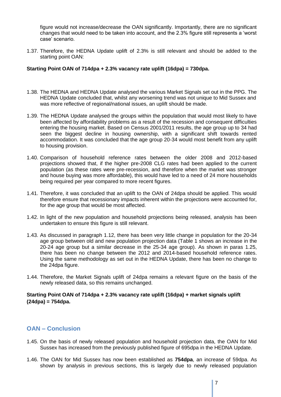figure would not increase/decrease the OAN significantly. Importantly, there are no significant changes that would need to be taken into account, and the 2.3% figure still represents a 'worst case' scenario.

1.37. Therefore, the HEDNA Update uplift of 2.3% is still relevant and should be added to the starting point OAN:

#### **Starting Point OAN of 714dpa + 2.3% vacancy rate uplift (16dpa) = 730dpa.**

- 1.38. The HEDNA and HEDNA Update analysed the various Market Signals set out in the PPG. The HEDNA Update concluded that, whilst any worsening trend was not unique to Mid Sussex and was more reflective of regional/national issues, an uplift should be made.
- 1.39. The HEDNA Update analysed the groups within the population that would most likely to have been affected by affordability problems as a result of the recession and consequent difficulties entering the housing market. Based on Census 2001/2011 results, the age group up to 34 had seen the biggest decline in housing ownership, with a significant shift towards rented accommodation. It was concluded that the age group 20-34 would most benefit from any uplift to housing provision.
- 1.40. Comparison of household reference rates between the older 2008 and 2012-based projections showed that, if the higher pre-2008 CLG rates had been applied to the current population (as these rates were pre-recession, and therefore when the market was stronger and house buying was more affordable), this would have led to a need of 24 more households being required per year compared to more recent figures.
- 1.41. Therefore, it was concluded that an uplift to the OAN of 24dpa should be applied. This would therefore ensure that recessionary impacts inherent within the projections were accounted for, for the age group that would be most affected.
- 1.42. In light of the new population and household projections being released, analysis has been undertaken to ensure this figure is still relevant.
- 1.43. As discussed in paragraph 1.12, there has been very little change in population for the 20-34 age group between old and new population projection data (Table 1 shows an increase in the 20-24 age group but a similar decrease in the 25-34 age group). As shown in paras 1.25, there has been no change between the 2012 and 2014-based household reference rates. Using the same methodology as set out in the HEDNA Update, there has been no change to the 24dpa figure.
- 1.44. Therefore, the Market Signals uplift of 24dpa remains a relevant figure on the basis of the newly released data, so this remains unchanged.

#### **Starting Point OAN of 714dpa + 2.3% vacancy rate uplift (16dpa) + market signals uplift (24dpa) = 754dpa.**

#### **OAN – Conclusion**

- 1.45. On the basis of newly released population and household projection data, the OAN for Mid Sussex has increased from the previously published figure of 695dpa in the HEDNA Update.
- 1.46. The OAN for Mid Sussex has now been established as **754dpa**, an increase of 59dpa. As shown by analysis in previous sections, this is largely due to newly released population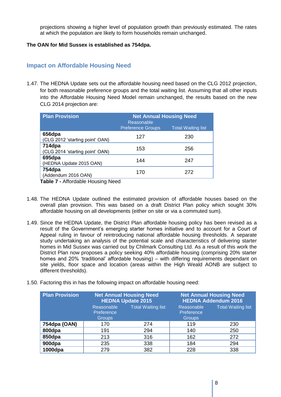projections showing a higher level of population growth than previously estimated. The rates at which the population are likely to form households remain unchanged.

#### **The OAN for Mid Sussex is established as 754dpa.**

#### **Impact on Affordable Housing Need**

1.47. The HEDNA Update sets out the affordable housing need based on the CLG 2012 projection, for both reasonable preference groups and the total waiting list. Assuming that all other inputs into the Affordable Housing Need Model remain unchanged, the results based on the new CLG 2014 projection are:

| <b>Plan Provision</b>                     | <b>Net Annual Housing Need</b><br>Reasonable |                           |
|-------------------------------------------|----------------------------------------------|---------------------------|
|                                           | <b>Preference Groups</b>                     | <b>Total Waiting list</b> |
| 656dpa<br>(CLG 2012 'starting point' OAN) | 127                                          | 230                       |
| 714dpa<br>(CLG 2014 'starting point' OAN) | 153                                          | 256                       |
| 695dpa<br>(HEDNA Update 2015 OAN)         | 144                                          | 247                       |
| 754dpa<br>(Addendum 2016 OAN)             | 170                                          | 272                       |

**Table 7 -** Affordable Housing Need

- 1.48. The HEDNA Update outlined the estimated provision of affordable houses based on the overall plan provision. This was based on a draft District Plan policy which sought 30% affordable housing on all developments (either on site or via a commuted sum).
- 1.49. Since the HEDNA Update, the District Plan affordable housing policy has been revised as a result of the Government's emerging starter homes initiative and to account for a Court of Appeal ruling in favour of reintroducing national affordable housing thresholds. A separate study undertaking an analysis of the potential scale and characteristics of delivering starter homes in Mid Sussex was carried out by Chilmark Consulting Ltd. As a result of this work the District Plan now proposes a policy seeking 40% affordable housing (comprising 20% starter homes and 20% 'traditional' affordable housing) – with differing requirements dependant on site yields, floor space and location (areas within the High Weald AONB are subject to different thresholds).
- 1.50. Factoring this in has the following impact on affordable housing need:

| <b>Plan Provision</b> |                                           | <b>Net Annual Housing Need</b><br><b>HEDNA Update 2015</b> | <b>Net Annual Housing Need</b><br><b>HEDNA Addendum 2016</b> |                           |
|-----------------------|-------------------------------------------|------------------------------------------------------------|--------------------------------------------------------------|---------------------------|
|                       | Reasonable<br>Preference<br><b>Groups</b> | <b>Total Waiting list</b>                                  | Reasonable<br>Preference<br><b>Groups</b>                    | <b>Total Waiting list</b> |
| 754dpa (OAN)          | 170                                       | 274                                                        | 119                                                          | 230                       |
| 800dpa                | 191                                       | 294                                                        | 140                                                          | 250                       |
| 850dpa                | 213                                       | 316                                                        | 162                                                          | 272                       |
| 900dpa                | 235                                       | 338                                                        | 184                                                          | 294                       |
| $1000$ dpa            | 279                                       | 382                                                        | 228                                                          | 338                       |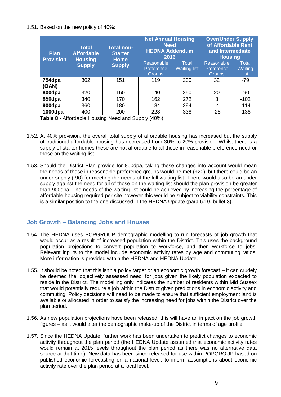#### 1.51. Based on the new policy of 40%:

| <b>Plan</b><br><b>Provision</b> | <b>Total</b><br><b>Affordable</b><br><b>Housing</b> | <b>Total non-</b><br><b>Starter</b><br><b>Home</b> | <b>Net Annual Housing</b><br><b>Need</b><br><b>HEDNA Addendum</b><br>2016 |                              | <b>Over/Under Supply</b><br>of Affordable Rent<br>and Intermediate<br><b>Housing</b> |                          |
|---------------------------------|-----------------------------------------------------|----------------------------------------------------|---------------------------------------------------------------------------|------------------------------|--------------------------------------------------------------------------------------|--------------------------|
|                                 | <b>Supply</b>                                       | <b>Supply</b>                                      |                                                                           | Total<br><b>Waiting list</b> | Reasonable<br>Preference<br>Groups                                                   | Total<br>Waiting<br>list |
| 754dpa<br>(OAN)                 | 302                                                 | 151                                                | 119                                                                       | 230                          | 32                                                                                   | $-79$                    |
| 800dpa                          | 320                                                 | 160                                                | 140                                                                       | 250                          | 20                                                                                   | -90                      |
| 850dpa                          | 340                                                 | 170                                                | 162                                                                       | 272                          | 8                                                                                    | $-102$                   |
| 900dpa                          | 360                                                 | 180                                                | 184                                                                       | 294                          | -4                                                                                   | $-114$                   |
| 1000dpa                         | 400                                                 | 200                                                | 228                                                                       | 338                          | -28                                                                                  | $-138$                   |

**Table 8 -** Affordable Housing Need and Supply (40%)

- 1.52. At 40% provision, the overall total supply of affordable housing has increased but the supply of traditional affordable housing has decreased from 30% to 20% provision. Whilst there is a supply of starter homes these are not affordable to all those in reasonable preference need or those on the waiting list.
- 1.53. Should the District Plan provide for 800dpa, taking these changes into account would mean the needs of those in reasonable preference groups would be met (+20), but there could be an under-supply (-90) for meeting the needs of the full waiting list. There would also be an under supply against the need for all of those on the waiting list should the plan provision be greater than 900dpa. The needs of the waiting list could be achieved by increasing the percentage of affordable housing required per site however this would be subject to viability constraints. This is a similar position to the one discussed in the HEDNA Update (para 6.10, bullet 3).

## **Job Growth – Balancing Jobs and Houses**

- 1.54. The HEDNA uses POPGROUP demographic modelling to run forecasts of job growth that would occur as a result of increased population within the District. This uses the background population projections to convert population to workforce, and then workforce to jobs. Relevant inputs to the model include economic activity rates by age and commuting ratios. More information is provided within the HEDNA and HEDNA Update.
- 1.55. It should be noted that this isn't a policy target or an economic growth forecast it can crudely be deemed the 'objectively assessed need' for jobs given the likely population expected to reside in the District. The modelling only indicates the number of residents within Mid Sussex that would potentially require a job within the District given predictions in economic activity and commuting. Policy decisions will need to be made to ensure that sufficient employment land is available or allocated in order to satisfy the increasing need for jobs within the District over the plan period.
- 1.56. As new population projections have been released, this will have an impact on the job growth figures – as it would alter the demographic make-up of the District in terms of age profile.
- 1.57. Since the HEDNA Update, further work has been undertaken to predict changes to economic activity throughout the plan period (the HEDNA Update assumed that economic activity rates would remain at 2015 levels throughout the plan period as there was no alternative data source at that time). New data has been since released for use within POPGROUP based on published economic forecasting on a national level, to inform assumptions about economic activity rate over the plan period at a local level.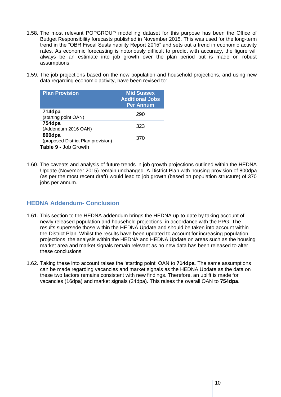- 1.58. The most relevant POPGROUP modelling dataset for this purpose has been the Office of Budget Responsibility forecasts published in November 2015. This was used for the long-term trend in the "OBR Fiscal Sustainability Report 2015" and sets out a trend in economic activity rates. As economic forecasting is notoriously difficult to predict with accuracy, the figure will always be an estimate into job growth over the plan period but is made on robust assumptions.
- 1.59. The job projections based on the new population and household projections, and using new data regarding economic activity, have been revised to:

| <b>Plan Provision</b>                        | <b>Mid Sussex</b><br><b>Additional Jobs</b><br><b>Per Annum</b> |
|----------------------------------------------|-----------------------------------------------------------------|
| 714dpa<br>(starting point OAN)               | 290                                                             |
| 754dpa<br>(Addendum 2016 OAN)                | 323                                                             |
| 800dpa<br>(proposed District Plan provision) | 370                                                             |
| Table 9 - Job Growth                         |                                                                 |

1.60. The caveats and analysis of future trends in job growth projections outlined within the HEDNA Update (November 2015) remain unchanged. A District Plan with housing provision of 800dpa (as per the most recent draft) would lead to job growth (based on population structure) of 370 jobs per annum.

## **HEDNA Addendum- Conclusion**

- 1.61. This section to the HEDNA addendum brings the HEDNA up-to-date by taking account of newly released population and household projections, in accordance with the PPG. The results supersede those within the HEDNA Update and should be taken into account within the District Plan. Whilst the results have been updated to account for increasing population projections, the analysis within the HEDNA and HEDNA Update on areas such as the housing market area and market signals remain relevant as no new data has been released to alter these conclusions.
- 1.62. Taking these into account raises the 'starting point' OAN to **714dpa**. The same assumptions can be made regarding vacancies and market signals as the HEDNA Update as the data on these two factors remains consistent with new findings. Therefore, an uplift is made for vacancies (16dpa) and market signals (24dpa). This raises the overall OAN to **754dpa**.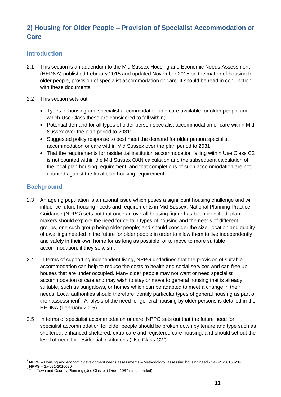## **2) Housing for Older People – Provision of Specialist Accommodation or Care**

## **Introduction**

- 2.1 This section is an addendum to the Mid Sussex Housing and Economic Needs Assessment (HEDNA) published February 2015 and updated November 2015 on the matter of housing for older people, provision of specialist accommodation or care. It should be read in conjunction with these documents.
- 2.2 This section sets out:
	- Types of housing and specialist accommodation and care available for older people and which Use Class these are considered to fall within;
	- Potential demand for all types of older person specialist accommodation or care within Mid Sussex over the plan period to 2031;
	- Suggested policy response to best meet the demand for older person specialist accommodation or care within Mid Sussex over the plan period to 2031;
	- That the requirements for residential institution accommodation falling within Use Class C2 is not counted within the Mid Sussex OAN calculation and the subsequent calculation of the local plan housing requirement; and that completions of such accommodation are not counted against the local plan housing requirement.

## **Background**

- 2.3 An ageing population is a national issue which poses a significant housing challenge and will influence future housing needs and requirements in Mid Sussex. National Planning Practice Guidance (NPPG) sets out that once an overall housing figure has been identified, plan makers should explore the need for certain types of housing and the needs of different groups, one such group being older people; and should consider the size, location and quality of dwellings needed in the future for older people in order to allow them to live independently and safely in their own home for as long as possible, or to move to more suitable accommodation, if they so wish<sup>1</sup>.
- 2.4 In terms of supporting independent living, NPPG underlines that the provision of suitable accommodation can help to reduce the costs to health and social services and can free up houses that are under occupied. Many older people may not want or need specialist accommodation or care and may wish to stay or move to general housing that is already suitable, such as bungalows, or homes which can be adapted to meet a change in their needs. Local authorities should therefore identify particular types of general housing as part of their assessment<sup>2</sup>. Analysis of the need for general housing by older persons is detailed in the HEDNA (February 2015).
- 2.5 In terms of specialist accommodation or care, NPPG sets out that the future need for specialist accommodation for older people should be broken down by tenure and type such as sheltered, enhanced sheltered, extra care and registered care housing; and should set out the level of need for residential institutions (Use Class  $C2<sup>3</sup>$ ).

-

<sup>1</sup> NPPG – Housing and economic development needs assessments – Methodology: assessing housing need - 2a-021-20160204

 $^2$  NPPG – 2a-021-20160204

The Town and Country Planning (Use Classes) Order 1987 (as amended)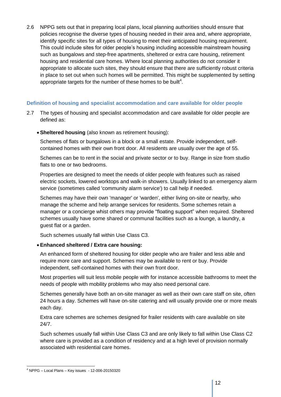2.6 NPPG sets out that in preparing local plans, local planning authorities should ensure that policies recognise the diverse types of housing needed in their area and, where appropriate, identify specific sites for all types of housing to meet their anticipated housing requirement. This could include sites for older people's housing including accessible mainstream housing such as bungalows and step-free apartments, sheltered or extra care housing, retirement housing and residential care homes. Where local planning authorities do not consider it appropriate to allocate such sites, they should ensure that there are sufficiently robust criteria in place to set out when such homes will be permitted. This might be supplemented by setting appropriate targets for the number of these homes to be built<sup>4</sup>.

#### **Definition of housing and specialist accommodation and care available for older people**

- 2.7 The types of housing and specialist accommodation and care available for older people are defined as:
	- **Sheltered housing** (also known as retirement housing):

Schemes of flats or bungalows in a block or a small estate. Provide independent, selfcontained homes with their own front door. All residents are usually over the age of 55.

Schemes can be to rent in the social and private sector or to buy. Range in size from studio flats to one or two bedrooms.

Properties are designed to meet the needs of older people with features such as raised electric sockets, lowered worktops and walk-in showers. Usually linked to an emergency alarm service (sometimes called 'community alarm service') to call help if needed.

Schemes may have their own 'manager' or 'warden', either living on-site or nearby, who manage the scheme and help arrange services for residents. Some schemes retain a manager or a concierge whist others may provide "floating support" when required. Sheltered schemes usually have some shared or communal facilities such as a lounge, a laundry, a guest flat or a garden.

Such schemes usually fall within Use Class C3.

#### **Enhanced sheltered / Extra care housing:**

An enhanced form of sheltered housing for older people who are frailer and less able and require more care and support. Schemes may be available to rent or buy. Provide independent, self-contained homes with their own front door.

Most properties will suit less mobile people with for instance accessible bathrooms to meet the needs of people with mobility problems who may also need personal care.

Schemes generally have both an on-site manager as well as their own care staff on site, often 24 hours a day. Schemes will have on-site catering and will usually provide one or more meals each day.

Extra care schemes are schemes designed for frailer residents with care available on site 24/7.

Such schemes usually fall within Use Class C3 and are only likely to fall within Use Class C2 where care is provided as a condition of residency and at a high level of provision normally associated with residential care homes.

<sup>-</sup><sup>4</sup> NPPG – Local Plans – Key issues - 12-006-20150320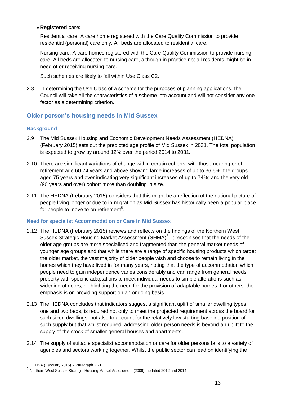#### **Registered care:**

Residential care: A care home registered with the Care Quality Commission to provide residential (personal) care only. All beds are allocated to residential care.

Nursing care: A care homes registered with the Care Quality Commission to provide nursing care. All beds are allocated to nursing care, although in practice not all residents might be in need of or receiving nursing care.

Such schemes are likely to fall within Use Class C2.

2.8 In determining the Use Class of a scheme for the purposes of planning applications, the Council will take all the characteristics of a scheme into account and will not consider any one factor as a determining criterion.

## **Older person's housing needs in Mid Sussex**

#### **Background**

- 2.9 The Mid Sussex Housing and Economic Development Needs Assessment (HEDNA) (February 2015) sets out the predicted age profile of Mid Sussex in 2031. The total population is expected to grow by around 12% over the period 2014 to 2031.
- 2.10 There are significant variations of change within certain cohorts, with those nearing or of retirement age 60-74 years and above showing large increases of up to 36.5%; the groups aged 75 years and over indicating very significant increases of up to 74%; and the very old (90 years and over) cohort more than doubling in size.
- 2.11 The HEDNA (February 2015) considers that this might be a reflection of the national picture of people living longer or due to in-migration as Mid Sussex has historically been a popular place for people to move to on retirement<sup>5</sup>.

#### **Need for specialist Accommodation or Care in Mid Sussex**

- 2.12 The HEDNA (February 2015) reviews and reflects on the findings of the Northern West Sussex Strategic Housing Market Assessment (SHMA)<sup>6</sup>. It recognises that the needs of the older age groups are more specialised and fragmented than the general market needs of younger age groups and that while there are a range of specific housing products which target the older market, the vast majority of older people wish and choose to remain living in the homes which they have lived in for many years, noting that the type of accommodation which people need to gain independence varies considerably and can range from general needs property with specific adaptations to meet individual needs to simple alterations such as widening of doors, highlighting the need for the provision of adaptable homes. For others, the emphasis is on providing support on an ongoing basis.
- 2.13 The HEDNA concludes that indicators suggest a significant uplift of smaller dwelling types, one and two beds, is required not only to meet the projected requirement across the board for such sized dwellings, but also to account for the relatively low starting baseline position of such supply but that whilst required, addressing older person needs is beyond an uplift to the supply of the stock of smaller general houses and apartments.
- 2.14 The supply of suitable specialist accommodation or care for older persons falls to a variety of agencies and sectors working together. Whilst the public sector can lead on identifying the

 5 HEDNA (February 2015) - Paragraph 2.21

<sup>6</sup> Northern West Sussex Strategic Housing Market Assessment (2009); updated 2012 and 2014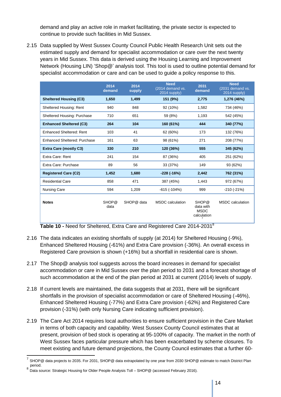demand and play an active role in market facilitating, the private sector is expected to continue to provide such facilities in Mid Sussex.

2.15 Data supplied by West Sussex County Council Public Health Research Unit sets out the estimated supply and demand for specialist accommodation or care over the next twenty years in Mid Sussex. This data is derived using the Housing Learning and Improvement Network (Housing LIN) 'Shop@' analysis tool. This tool is used to outline potential demand for specialist accommodation or care and can be used to guide a policy response to this.

|                                 | 2014<br>demand            | 2014<br>supply | <b>Need</b><br>(2014 demand vs.<br>2014 supply) | 2031<br>demand                                               | <b>Need</b><br>(2031 demand vs.<br>2014 supply) |
|---------------------------------|---------------------------|----------------|-------------------------------------------------|--------------------------------------------------------------|-------------------------------------------------|
| <b>Sheltered Housing (C3)</b>   | 1,650                     | 1,499          | 151 (9%)                                        | 2,775                                                        | 1,276 (46%)                                     |
| Sheltered Housing: Rent         | 940                       | 848            | 92 (10%)                                        | 1,582                                                        | 734 (46%)                                       |
| Sheltered Housing: Purchase     | 710                       | 651            | 59 (8%)                                         | 1,193                                                        | 542 (45%)                                       |
| <b>Enhanced Sheltered (C3)</b>  | 264                       | 104            | 160 (61%)                                       | 444                                                          | 340 (77%)                                       |
| <b>Enhanced Sheltered: Rent</b> | 103                       | 41             | 62 (60%)                                        | 173                                                          | 132 (76%)                                       |
| Enhanced Sheltered: Purchase    | 161                       | 63             | 98 (61%)                                        | 271                                                          | 208 (77%)                                       |
| <b>Extra Care (mostly C3)</b>   | 330                       | 210            | 120 (36%)                                       | 555                                                          | 345 (62%)                                       |
| Extra Care: Rent                | 241                       | 154            | 87 (36%)                                        | 405                                                          | 251 (62%)                                       |
| Extra Care: Purchase            | 89                        | 56             | 33 (37%)                                        | 149                                                          | 93 (62%)                                        |
| <b>Registered Care (C2)</b>     | 1,452                     | 1.680          | $-228$ ( $-16\%$ )                              | 2,442                                                        | 762 (31%)                                       |
| <b>Residential Care</b>         | 858                       | 471            | 387 (45%)                                       | 1,443                                                        | 972 (67%)                                       |
| <b>Nursing Care</b>             | 594                       | 1,209          | $-615$ ( $-104\%$ )                             | 999                                                          | $-210(-21%)$                                    |
| <b>Notes</b>                    | SHOP <sup>®</sup><br>data | SHOP@ data     | <b>MSDC</b> calculation                         | SHOP <sup>®</sup><br>data with<br><b>MSDC</b><br>calculation | <b>MSDC</b> calculation                         |

**Table 10 -** Need for Sheltered, Extra Care and Registered Care 2014-2031<sup>8</sup>

- 2.16 The data indicates an existing shortfalls of supply (at 2014) for Sheltered Housing (-9%), Enhanced Sheltered Housing (-61%) and Extra Care provision (-36%). An overall excess in Registered Care provision is shown (+16%) but a shortfall in residential care is shown.
- 2.17 The Shop@ analysis tool suggests across the board increases in demand for specialist accommodation or care in Mid Sussex over the plan period to 2031 and a forecast shortage of such accommodation at the end of the plan period at 2031 at current (2014) levels of supply.
- 2.18 If current levels are maintained, the data suggests that at 2031, there will be significant shortfalls in the provision of specialist accommodation or care of Sheltered Housing (-46%), Enhanced Sheltered Housing (-77%) and Extra Care provision (-62%) and Registered Care provision (-31%) (with only Nursing Care indicating sufficient provision).
- 2.19 The Care Act 2014 requires local authorities to ensure sufficient provision in the Care Market in terms of both capacity and capability. West Sussex County Council estimates that at present, provision of bed stock is operating at 95-100% of capacity. The market in the north of West Sussex faces particular pressure which has been exacerbated by scheme closures. To meet existing and future demand projections, the County Council estimates that a further 60-

 7 SHOP@ data projects to 2035. For 2031, SHOP@ data extrapolated by one year from 2030 SHOP@ estimate to match District Plan

period.<br><sup>8</sup> Data source: Strategic Housing for Older People Analysis Toll – SHOP@ (accessed February 2016).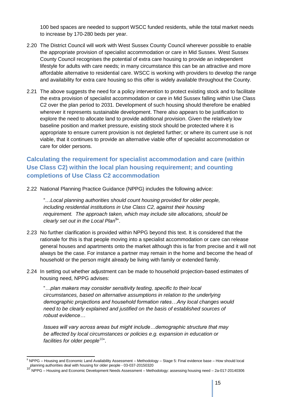100 bed spaces are needed to support WSCC funded residents, while the total market needs to increase by 170-280 beds per year.

- 2.20 The District Council will work with West Sussex County Council wherever possible to enable the appropriate provision of specialist accommodation or care in Mid Sussex. West Sussex County Council recognises the potential of extra care housing to provide an independent lifestyle for adults with care needs; in many circumstance this can be an attractive and more affordable alternative to residential care. WSCC is working with providers to develop the range and availability for extra care housing so this offer is widely available throughout the County.
- 2.21 The above suggests the need for a policy intervention to protect existing stock and to facilitate the extra provision of specialist accommodation or care in Mid Sussex falling within Use Class C2 over the plan period to 2031. Development of such housing should therefore be enabled wherever it represents sustainable development. There also appears to be justification to explore the need to allocate land to provide additional provision. Given the relatively low baseline position and market pressure, existing stock should be protected where it is appropriate to ensure current provision is not depleted further; or where its current use is not viable, that it continues to provide an alternative viable offer of specialist accommodation or care for older persons.

## **Calculating the requirement for specialist accommodation and care (within Use Class C2) within the local plan housing requirement; and counting completions of Use Class C2 accommodation**

2.22 National Planning Practice Guidance (NPPG) includes the following advice:

"…*Local planning authorities should count housing provided for older people, including residential institutions in Use Class C2, against their housing requirement. The approach taken, which may include site allocations, should be*  clearly set out in the Local Plan<sup>9</sup>".

- 2.23 No further clarification is provided within NPPG beyond this text. It is considered that the rationale for this is that people moving into a specialist accommodation or care can release general houses and apartments onto the market although this is far from precise and it will not always be the case. For instance a partner may remain in the home and become the head of household or the person might already be living with family or extended family.
- 2.24 In setting out whether adjustment can be made to household projection-based estimates of housing need, NPPG advises:

"*…plan makers may consider sensitivity testing, specific to their local circumstances, based on alternative assumptions in relation to the underlying demographic projections and household formation rates…Any local changes would need to be clearly explained and justified on the basis of established sources of robust evidence…*

*Issues will vary across areas but might include…demographic structure that may be affected by local circumstances or policies e.g. expansion in education or*  facilities for older people<sup>10</sup>".

<sup>-</sup>9 NPPG – Housing and Economic Land Availability Assessment – Methodology – Stage 5: Final evidence base – How should local planning and Lourism can deal with housing for older people - 03-037-20150320<br>planning suthorities deal with housing for older people - 03-037-20150320

<sup>10</sup> NPPG – Housing and Economic Development Needs Assessment – Methodology: assessing housing need – 2a-017-20140306